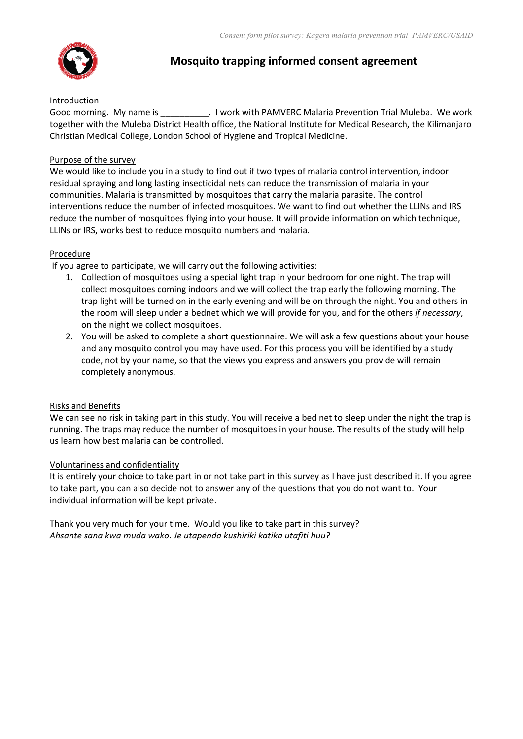

# **Mosquito trapping informed consent agreement**

### Introduction

Good morning. My name is \_\_\_\_\_\_\_\_\_\_\_\_\_\_. I work with PAMVERC Malaria Prevention Trial Muleba. We work together with the Muleba District Health office, the National Institute for Medical Research, the Kilimanjaro Christian Medical College, London School of Hygiene and Tropical Medicine.

### Purpose of the survey

We would like to include you in a study to find out if two types of malaria control intervention, indoor residual spraying and long lasting insecticidal nets can reduce the transmission of malaria in your communities. Malaria is transmitted by mosquitoes that carry the malaria parasite. The control interventions reduce the number of infected mosquitoes. We want to find out whether the LLINs and IRS reduce the number of mosquitoes flying into your house. It will provide information on which technique, LLINs or IRS, works best to reduce mosquito numbers and malaria.

### **Procedure**

If you agree to participate, we will carry out the following activities:

- 1. Collection of mosquitoes using a special light trap in your bedroom for one night. The trap will collect mosquitoes coming indoors and we will collect the trap early the following morning. The trap light will be turned on in the early evening and will be on through the night. You and others in the room will sleep under a bednet which we will provide for you, and for the others *if necessary*, on the night we collect mosquitoes.
- 2. You will be asked to complete a short questionnaire. We will ask a few questions about your house and any mosquito control you may have used. For this process you will be identified by a study code, not by your name, so that the views you express and answers you provide will remain completely anonymous.

### Risks and Benefits

We can see no risk in taking part in this study. You will receive a bed net to sleep under the night the trap is running. The traps may reduce the number of mosquitoes in your house. The results of the study will help us learn how best malaria can be controlled.

### Voluntariness and confidentiality

It is entirely your choice to take part in or not take part in this survey as I have just described it. If you agree to take part, you can also decide not to answer any of the questions that you do not want to. Your individual information will be kept private.

Thank you very much for your time. Would you like to take part in this survey? *Ahsante sana kwa muda wako. Je utapenda kushiriki katika utafiti huu?*